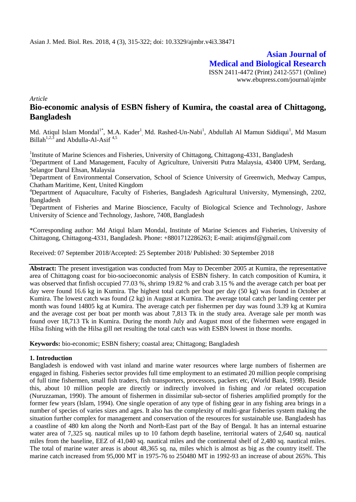**Asian Journal of Medical and Biological Research** ISSN 2411-4472 (Print) 2412-5571 (Online) www.ebupress.com/journal/ajmbr

*Article*

# **Bio-economic analysis of ESBN fishery of Kumira, the coastal area of Chittagong, Bangladesh**

Md. Atiqul Islam Mondal<sup>1\*</sup>, M.A. Kader<sup>1</sup>, Md. Rashed-Un-Nabi<sup>1</sup>, Abdullah Al Mamun Siddiqui<sup>1</sup>, Md Masum Billah<sup>1,2,3</sup> and Abdulla-Al-Asif  $4.5$ 

<sup>1</sup>Institute of Marine Sciences and Fisheries, University of Chittagong, Chittagong-4331, Bangladesh

<sup>2</sup>Department of Land Management, Faculty of Agriculture, Universiti Putra Malaysia, 43400 UPM, Serdang, Selangor Darul Ehsan, Malaysia

<sup>3</sup>Department of Environmental Conservation, School of Science University of Greenwich, Medway Campus, Chatham Maritime, Kent, United Kingdom

<sup>4</sup>Department of Aquaculture, Faculty of Fisheries, Bangladesh Agricultural University, Mymensingh, 2202, Bangladesh

<sup>5</sup>Department of Fisheries and Marine Bioscience, Faculty of Biological Science and Technology, Jashore University of Science and Technology, Jashore, 7408, Bangladesh

\*Corresponding author: Md Atiqul Islam Mondal, Institute of Marine Sciences and Fisheries, University of Chittagong, Chittagong-4331, Bangladesh. Phone: +8801712286263; E-mail: atiqimsf@gmail.com

Received: 07 September 2018/Accepted: 25 September 2018/ Published: 30 September 2018

**Abstract:** The present investigation was conducted from May to December 2005 at Kumira, the representative area of Chittagong coast for bio-socioeconomic analysis of ESBN fishery. In catch composition of Kumira, it was observed that finfish occupied 77.03 %, shrimp 19.82 % and crab 3.15 % and the average catch per boat per day were found 16.6 kg in Kumira. The highest total catch per boat per day (50 kg) was found in October at Kumira. The lowest catch was found (2 kg) in August at Kumira. The average total catch per landing center per month was found 14805 kg at Kumira. The average catch per fishermen per day was found 3.39 kg at Kumira and the average cost per boat per month was about 7,813 Tk in the study area. Average sale per month was found over 18,713 Tk in Kumira. During the month July and August most of the fishermen were engaged in Hilsa fishing with the Hilsa gill net resulting the total catch was with ESBN lowest in those months.

**Keywords:** bio-economic; ESBN fishery; coastal area; Chittagong; Bangladesh

### **1. Introduction**

Bangladesh is endowed with vast inland and marine water resources where large numbers of fishermen are engaged in fishing. Fisheries sector provides full time employment to an estimated 20 million people comprising of full time fishermen, small fish traders, fish transporters, processors, packers etc, (World Bank, 1998). Beside this, about 10 million people are directly or indirectly involved in fishing and /or related occupation (Nuruzzaman, 1990). The amount of fishermen in dissimilar sub-sector of fisheries amplified promptly for the former few years (Islam, 1994). One single operation of any type of fishing gear in any fishing area brings in a number of species of varies sizes and ages. It also has the complexity of multi-gear fisheries system making the situation further complex for management and conservation of the resources for sustainable use. Bangladesh has a coastline of 480 km along the North and North-East part of the Bay of Bengal. It has an internal estuarine water area of 7,325 sq. nautical miles up to 10 fathom depth baseline, territorial waters of 2,640 sq. nautical miles from the baseline, EEZ of 41,040 sq. nautical miles and the continental shelf of 2,480 sq. nautical miles. The total of marine water areas is about 48,365 sq. na, miles which is almost as big as the country itself. The marine catch increased from 95,000 MT in 1975-76 to 250480 MT in 1992-93 an increase of about 265%. This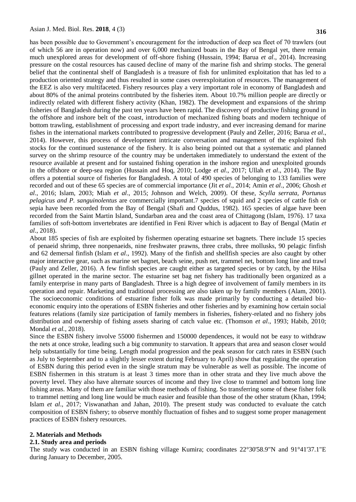has been possible due to Government's encouragement for the introduction of deep sea fleet of 70 trawlers (out of which 56 are in operation now) and over 6,000 mechanized boats in the Bay of Bengal yet, there remain much unexplored areas for development of off-shore fishing (Hussain, 1994; Barua *et al*., 2014). Increasing pressure on the costal resources has caused decline of many of the marine fish and shrimp stocks. The general belief that the continental shelf of Bangladesh is a treasure of fish for unlimited exploitation that has led to a production oriented strategy and thus resulted in some cases overexploitation of resources. The management of the EEZ is also very multifaceted. Fishery resources play a very important role in economy of Bangladesh and about 80% of the animal proteins contributed by the fisheries item. About 10.7% million people are directly or indirectly related with different fishery activity (Khan, 1982). The development and expansions of the shrimp fisheries of Bangladesh during the past ten years have been rapid. The discovery of productive fishing ground in the offshore and inshore belt of the coast, introduction of mechanized fishing boats and modern technique of bottom trawling, establishment of processing and export trade industry, and ever increasing demand for marine fishes in the international markets contributed to progressive development (Pauly and Zeller, 2016; Barua *et al*., 2014). However, this process of development intricate conversation and management of the exploited fish stocks for the continued sustenance of the fishery. It is also being pointed out that a systematic and planned survey on the shrimp resource of the country may be undertaken immediately to understand the extent of the resource available at present and for sustained fishing operation in the inshore region and unexploited grounds in the offshore or deep-sea region (Hussain and Hoq, 2010; Lodge *et al*., 2017; Ullah *et al*., 2014). The Bay offers a potential source of fisheries for Bangladesh. A total of 490 species of belonging to 133 families were recorded and out of these 65 species are of commercial importance (Jit *et al*., 2014; Amin *et al*., 2006; Ghosh *et al*., 2016; Islam, 2003; Miah *et al*., 2015; Johnson and Welch, 2009). Of these, *Scylla serrata, Portunus pelagicus and P. sanguinolentus* are commercially important.7 species of squid and 2 species of cattle fish or sepia have been recorded from the Bay of Bengal (Shafi and Quddus, 1982). 165 species of algae have been recorded from the Saint Martin Island, Sundarban area and the coast area of Chittagong (Islam, 1976). 17 taxa families of soft-bottom invertebrates are identified in Feni River which is adjacent to Bay of Bengal (Matin *et al*., 2018).

About 185 species of fish are exploited by fishermen operating estuarine set bagnets. There include 15 species of penaeid shrimp, three nonpenaeids, nine freshwater prawns, three crabs, three mollusks, 90 pelagic finfish and 62 demersal finfish (Islam *et al*., 1992). Many of the finfish and shellfish species are also caught by other major interactive gear, such as marine set bagnet, beach seine, push net, trammel net, bottom long line and trawl (Pauly and Zeller, 2016). A few finfish species are caught either as targeted species or by catch, by the Hilsa gillnet operated in the marine sector. The estuarine set bag net fishery has traditionally been organized as a family enterprise in many parts of Bangladesh. Three is a high degree of involvement of family members in its operation and repair. Marketing and traditional processing are also taken up by family members (Alam, 2001). The socioeconomic conditions of estuarine fisher folk was made primarily by conducting a detailed bioeconomic enquiry into the operations of ESBN fisheries and other fisheries and by examining how certain social features relations (family size participation of family members in fisheries, fishery-related and no fishery jobs distribution and ownership of fishing assets sharing of catch value etc. (Thomson *et al*., 1993; Habib, 2010; Mondal *et al.*, 2018).

Since the ESBN fishery involve 55000 fishermen and 150000 dependences, it would not be easy to withdraw the nets at once stroke, leading such a big community to starvation. It appears that area and season closer would help substantially for time being. Length modal progression and the peak season for catch rates in ESBN (such as July to September and to a slightly lesser extent during February to April) show that regulating the operation of ESBN during this period even in the single stratum may be vulnerable as well as possible. The income of ESBN fishermen in this stratum is at least 3 times more than in other strata and they live much above the poverty level. They also have alternate sources of income and they live close to trammel and bottom long line fishing areas. Many of them are familiar with those methods of fishing. So transferring some of these fisher folk to trammel netting and long line would be much easier and feasible than those of the other stratum (Khan, 1994; Islam *et al*., 2017; Viswanathan and Jahan, 2010). The present study was conducted to evaluate the catch composition of ESBN fishery; to observe monthly fluctuation of fishes and to suggest some proper management practices of ESBN fishery resources.

#### **2. Materials and Methods**

#### **2.1. Study area and periods**

The study was conducted in an ESBN fishing village Kumira; coordinates 22°30'58.9"N and 91°41'37.1"E during January to December, 2005.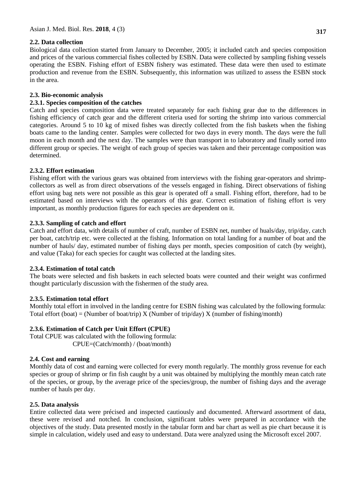# **2.2. Data collection**

Biological data collection started from January to December, 2005; it included catch and species composition and prices of the various commercial fishes collected by ESBN. Data were collected by sampling fishing vessels operating the ESBN. Fishing effort of ESBN fishery was estimated. These data were then used to estimate production and revenue from the ESBN. Subsequently, this information was utilized to assess the ESBN stock in the area.

# **2.3. Bio-economic analysis**

## **2.3.1. Species composition of the catches**

Catch and species composition data were treated separately for each fishing gear due to the differences in fishing efficiency of catch gear and the different criteria used for sorting the shrimp into various commercial categories. Around 5 to 10 kg of mixed fishes was directly collected from the fish baskets when the fishing boats came to the landing center. Samples were collected for two days in every month. The days were the full moon in each month and the next day. The samples were than transport in to laboratory and finally sorted into different group or species. The weight of each group of species was taken and their percentage composition was determined.

# **2.3.2. Effort estimation**

Fishing effort with the various gears was obtained from interviews with the fishing gear-operators and shrimpcollectors as well as from direct observations of the vessels engaged in fishing. Direct observations of fishing effort using bag nets were not possible as this gear is operated off a small. Fishing effort, therefore, had to be estimated based on interviews with the operators of this gear. Correct estimation of fishing effort is very important, as monthly production figures for each species are dependent on it.

### **2.3.3. Sampling of catch and effort**

Catch and effort data, with details of number of craft, number of ESBN net, number of huals/day, trip/day, catch per boat, catch/trip etc. were collected at the fishing. Information on total landing for a number of boat and the number of hauls/ day, estimated number of fishing days per month, species composition of catch (by weight), and value (Taka) for each species for caught was collected at the landing sites.

### **2.3.4. Estimation of total catch**

The boats were selected and fish baskets in each selected boats were counted and their weight was confirmed thought particularly discussion with the fishermen of the study area.

# **2.3.5. Estimation total effort**

Monthly total effort in involved in the landing centre for ESBN fishing was calculated by the following formula: Total effort (boat) = (Number of boat/trip) X (Number of trip/day) X (number of fishing/month)

# **2.3.6. Estimation of Catch per Unit Effort (CPUE)**

Total CPUE was calculated with the following formula: CPUE=(Catch/month) / (boat/month)

# **2.4. Cost and earning**

Monthly data of cost and earning were collected for every month regularly. The monthly gross revenue for each species or group of shrimp or fin fish caught by a unit was obtained by multiplying the monthly mean catch rate of the species, or group, by the average price of the species/group, the number of fishing days and the average number of hauls per day.

### **2.5. Data analysis**

Entire collected data were précised and inspected cautiously and documented. Afterward assortment of data, these were revised and notched. In conclusion, significant tables were prepared in accordance with the objectives of the study. Data presented mostly in the tabular form and bar chart as well as pie chart because it is simple in calculation, widely used and easy to understand. Data were analyzed using the Microsoft excel 2007.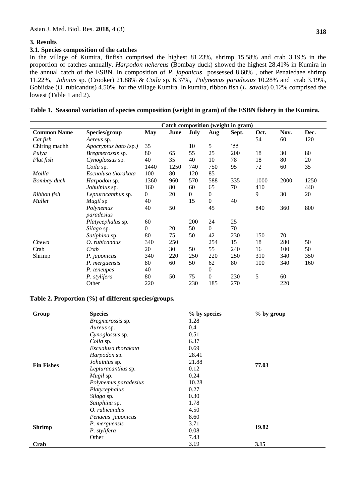### **3. Results**

#### **3.1. Species composition of the catches**

In the village of Kumira, finfish comprised the highest 81.23%, shrimp 15.58% and crab 3.19% in the proportion of catches annually. *Harpodon nehereus* (Bombay duck) showed the highest 28.41% in Kumira in the annual catch of the ESBN. In composition of *P. japonicus* possessed 8.60% , other Penaiedaee shrimp 11.22%, *Johnius* sp. (Crooker) 21.88% & *Coila* sp*.* 6.37%, *Polynemus paradesius* 10.28% and crab 3.19%, Gobiidae (O. rubicandus) 4.50% for the village Kumira. In kumira, ribbon fish (*L. savala*) 0.12% comprised the lowest (Table 1 and 2).

|  |  |  |  |  |  |  | Table 1. Seasonal variation of species composition (weight in gram) of the ESBN fishery in the Kumira. |
|--|--|--|--|--|--|--|--------------------------------------------------------------------------------------------------------|
|--|--|--|--|--|--|--|--------------------------------------------------------------------------------------------------------|

|                    | Catch composition (weight in gram) |                    |      |          |                  |              |      |      |      |
|--------------------|------------------------------------|--------------------|------|----------|------------------|--------------|------|------|------|
| <b>Common Name</b> | Species/group                      | May                | June | July     | Aug              | Sept.        | Oct. | Nov. | Dec. |
| Cat fish           | Aereus sp.                         |                    |      |          |                  |              | 54   | 60   | 120  |
| Chiring machh      | Apocryptus bato (sp.)              | 35                 |      | 10       | 5                | $^{\circ}55$ |      |      |      |
| Puiya              | Bregmerossis sp.                   | 80                 | 65   | 55       | 25               | 200          | 18   | 30   | 80   |
| Flat fish          | Cynoglossus sp.                    | 40                 | 35   | 40       | 10               | 78           | 18   | 80   | 20   |
|                    | Coila sp.                          | 1440               | 1250 | 740      | 750              | 95           | 72   | 60   | 35   |
| Moilla             | Escualusa thorakata                | 100                | 80   | 120      | 85               |              |      |      |      |
| Bombay duck        | Harpodon sp.                       | 1360               | 960  | 570      | 588              | 335          | 1000 | 2000 | 1250 |
|                    | Johuinius sp.                      | 160                | 80   | 60       | 65               | 70           | 410  |      | 440  |
| Ribbon fish        | Lepturacanthus sp.                 | $\mathbf{0}$<br>20 |      | $\theta$ | $\mathbf{0}$     |              | 9    | 30   | 20   |
| Mullet             | Mugil sp                           | 40                 |      | 15       | $\Omega$         | 40           |      |      |      |
|                    | Polynemus                          | 40                 | 50   |          | 45               |              | 840  | 360  | 800  |
|                    | paradesius                         |                    |      |          |                  |              |      |      |      |
|                    | Platycephalus sp.                  | 60                 |      | 200      | 24               | 25           |      |      |      |
|                    | Silago sp.                         | $\Omega$           | 20   | 50       | $\Omega$         | 70           |      |      |      |
|                    | Satiphina sp.                      | 80                 | 75   | 50       | 42               | 230          | 150  | 70   |      |
| Chewa              | O. rubicandus                      | 340                | 250  |          | 254              | 15           | 18   | 280  | 50   |
| Crab               | Crab                               | 20                 | 30   | 50       | 55               | 240          | 16   | 100  | 50   |
| Shrimp             | P. japonicus                       | 340                | 220  | 250      | 220              | 250          | 310  | 340  | 350  |
|                    | P. merguensis                      | 80                 | 60   | 50       | 62               | 80           | 100  | 340  | 160  |
|                    | P. teneupes                        | 40                 |      |          | $\mathbf{0}$     |              |      |      |      |
|                    | P. stylifera                       | 80                 | 50   | 75       | $\boldsymbol{0}$ | 230          | 5    | 60   |      |
|                    | Other                              | 220                |      | 230      | 185              | 270          |      | 220  |      |

### **Table 2. Proportion (%) of different species/groups.**

| Group             | <b>Species</b>       | % by species | % by group |  |  |
|-------------------|----------------------|--------------|------------|--|--|
|                   | Bregmerossis sp.     | 1.28         |            |  |  |
|                   | Aureus sp.           | 0.4          |            |  |  |
|                   | Cynoglossus sp.      | 0.51         |            |  |  |
|                   | Coila sp.            | 6.37         |            |  |  |
|                   | Escualusa thorakata  | 0.69         |            |  |  |
|                   | Harpodon sp.         | 28.41        |            |  |  |
|                   | Johuinius sp.        | 21.88        |            |  |  |
| <b>Fin Fishes</b> | Lepturacanthus sp.   | 0.12         | 77.03      |  |  |
|                   | Mugil sp.            | 0.24         |            |  |  |
|                   | Polynemus paradesius | 10.28        |            |  |  |
|                   | Platycephalus        | 0.27         |            |  |  |
|                   | Silago sp.           | 0.30         |            |  |  |
|                   | Satiphina sp.        | 1.78         |            |  |  |
|                   | O. rubicandus        | 4.50         |            |  |  |
|                   | Penaeus japonicus    | 8.60         |            |  |  |
|                   | P. merguensis        | 3.71         |            |  |  |
| <b>Shrimp</b>     | P. stylifera         | 0.08         | 19.82      |  |  |
|                   | Other                | 7.43         |            |  |  |
| Crab              |                      | 3.19         | 3.15       |  |  |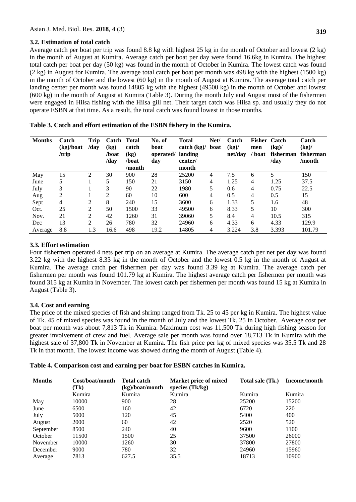### **3.2. Estimation of total catch**

Average catch per boat per trip was found 8.8 kg with highest 25 kg in the month of October and lowest (2 kg) in the month of August at Kumira. Average catch per boat per day were found 16.6kg in Kumira. The highest total catch per boat per day (50 kg) was found in the month of October in Kumira. The lowest catch was found (2 kg) in August for Kumira. The average total catch per boat per month was 498 kg with the highest (1500 kg) in the month of October and the lowest (60 kg) in the month of August at Kumira. The average total catch per landing center per month was found 14805 kg with the highest (49500 kg) in the month of October and lowest (600 kg) in the month of August at Kumira (Table 3). During the month July and August most of the fishermen were engaged in Hilsa fishing with the Hilsa gill net. Their target catch was Hilsa sp. and usually they do not operate ESBN at that time. As a result, the total catch was found lowest in those months.

| <b>Months</b> | Catch<br>$(kg)/\text{boat}$<br>/trip | Trip<br>/day   | Catch Total<br>(kg)<br>/boat<br>/dav | catch<br>(kg)<br>/boat<br>/month | No. of<br>boat<br>operated/<br>day | <b>Total</b><br>$\text{catch (kg)}$<br>landing<br>center/<br>month | Net/<br>boat | Catch<br>(kg)<br>net/day | <b>Fisher Catch</b><br>men<br>/boat | (kg)<br>fisherman<br>/day | Catch<br>$(kg)$ /<br>fisherman<br>/month |
|---------------|--------------------------------------|----------------|--------------------------------------|----------------------------------|------------------------------------|--------------------------------------------------------------------|--------------|--------------------------|-------------------------------------|---------------------------|------------------------------------------|
| May           | 15                                   | 2              | 30                                   | 900                              | 28                                 | 25200                                                              | 4            | 7.5                      | 6                                   | 5                         | 150                                      |
| June          | 5                                    |                | 5                                    | 150                              | 21                                 | 3150                                                               | 4            | 1.25                     | 4                                   | 1.25                      | 37.5                                     |
| July          | 3                                    |                | 3                                    | 90                               | 22                                 | 1980                                                               | 5            | 0.6                      | 4                                   | 0.75                      | 22.5                                     |
| Aug           | 2                                    |                | 2                                    | 60                               | 10                                 | 600                                                                | 4            | 0.5                      | 4                                   | 0.5                       | 15                                       |
| Sept          | 4                                    | 2              | 8                                    | 240                              | 15                                 | 3600                                                               | 6            | 1.33                     | 5                                   | 1.6                       | 48                                       |
| Oct.          | 25                                   | $\overline{2}$ | 50                                   | 1500                             | 33                                 | 49500                                                              | 6            | 8.33                     | 5                                   | 10                        | 300                                      |
| Nov.          | 21                                   | 2              | 42                                   | 1260                             | 31                                 | 39060                                                              | 5            | 8.4                      | 4                                   | 10.5                      | 315                                      |
| Dec           | 13                                   | 2              | 26                                   | 780                              | 32                                 | 24960                                                              | 6            | 4.33                     | 6                                   | 4.33                      | 129.9                                    |
| Average       | 8.8                                  | 1.3            | 16.6                                 | 498                              | 19.2                               | 14805                                                              | 4            | 3.224                    | 3.8                                 | 3.393                     | 101.79                                   |

#### **Table 3. Catch and effort estimation of the ESBN fishery in the Kumira.**

### **3.3. Effort estimation**

Four fishermen operated 4 nets per trip on an average at Kumira. The average catch per net per day was found 3.22 kg with the highest 8.33 kg in the month of October and the lowest 0.5 kg in the month of August at Kumira. The average catch per fishermen per day was found 3.39 kg at Kumira. The average catch per fishermen per month was found 101.79 kg at Kumira. The highest average catch per fishermen per month was found 315 kg at Kumira in November. The lowest catch per fishermen per month was found 15 kg at Kumira in August (Table 3).

### **3.4. Cost and earning**

The price of the mixed species of fish and shrimp ranged from Tk. 25 to 45 per kg in Kumira. The highest value of Tk. 45 of mixed species was found in the month of July and the lowest Tk. 25 in October. Average cost per boat per month was about 7,813 Tk in Kumira. Maximum cost was 11,500 Tk during high fishing season for greater involvement of crew and fuel. Average sale per month was found over 18,713 Tk in Kumira with the highest sale of 37,800 Tk in November at Kumira. The fish price per kg of mixed species was 35.5 Tk and 28 Tk in that month. The lowest income was showed during the month of August (Table 4).

|  |  | Table 4. Comparison cost and earning per boat for ESBN catches in Kumira. |
|--|--|---------------------------------------------------------------------------|
|--|--|---------------------------------------------------------------------------|

| <b>Months</b> | Cost/boat/month | <b>Total catch</b> | Market price of mixed | Total sale (Tk.) | Income/month |
|---------------|-----------------|--------------------|-----------------------|------------------|--------------|
|               | (Tk)            | (kg)/boat/month    | species $(Tk/kg)$     |                  |              |
|               | Kumira          | Kumira             | Kumira                | Kumira           | Kumira       |
| May           | 10000           | 900                | 28                    | 25200            | 15200        |
| June          | 6500            | 160                | 42                    | 6720             | 220          |
| July          | 5000            | 120                | 45                    | 5400             | 400          |
| August        | 2000            | 60                 | 42                    | 2520             | 520          |
| September     | 8500            | 240                | 40                    | 9600             | 1100         |
| October       | 11500           | 1500               | 25                    | 37500            | 26000        |
| November      | 10000           | 1260               | 30                    | 37800            | 27800        |
| December      | 9000            | 780                | 32                    | 24960            | 15960        |
| Average       | 7813            | 627.5              | 35.5                  | 18713            | 10900        |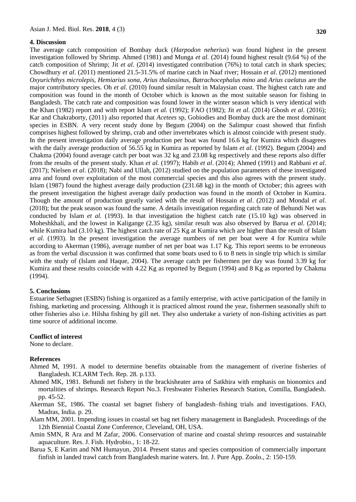#### **4. Discussion**

The average catch composition of Bombay duck (*Harpodon neherius*) was found highest in the present investigation followed by Shrimp. Ahmed (1981) and Munga *et al.* (2014) found highest result (9.64 %) of the catch composition of Shrimp; Jit *et al*. (2014) investigated contribution (76%) to total catch in shark species; Chowdhury *et al*. (2011) mentioned 21.5-31.5% of marine catch in Naaf river; Hossain *et al*. (2012) mentioned *Oxyurichthys microlepis*, *Hemiarius sona*, *Arius thalassinus, Batrachocephalus mino* and *Arius caelatus* are the major contributory species. Oh *et al*. (2010) found similar result in Malaysian coast. The highest catch rate and composition was found in the month of October which is known as the most suitable season for fishing in Bangladesh. The catch rate and composition was found lower in the winter season which is very identical with the Khan (1982) report and with report Islam *et al.* (1992); FAO (1982); Jit *et al*. (2014) Ghosh *et al*. (2016); Kar and Chakraborty, (2011) also reported that *Acetees* sp*,* Gobiodies and Bombay duck are the most dominant species in ESBN. A very recent study done by Begum (2004) on the Salimpur coast showed that finfish comprises highest followed by shrimp, crab and other invertebrates which is almost coincide with present study. In the present investigation daily average production per boat was found 16.6 kg for Kumira which disagrees with the daily average production of 56.55 kg in Kumira as reported by Islam *et al.* (1992). Begum (2004) and Chakma (2004) found average catch per boat was 32 kg and 23.08 kg respectively and these reports also differ from the results of the present study. Khan *et al.* (1997); Habib *et al*. (2014); Ahmed (1991) and Rabbani *et al*. (2017); Nielsen *et al*. (2018); Nabi and Ullah, (2012) studied on the population parameters of these investigated area and found over exploitation of the most commercial species and this also agrees with the present study. Islam (1987) found the highest average daily production (231.68 kg) in the month of October; this agrees with the present investigation the highest average daily production was found in the month of October in Kumira. Though the amount of production greatly varied with the result of Hossain *et al*. (2012) and Mondal *et al.* (2018); but the peak season was found the same. A details investigation regarding catch rate of Behundi Net was conducted by Islam *et al.* (1993). In that investigation the highest catch rate (15.10 kg) was observed in Moheshkhali, and the lowest in Kaligange (2.35 kg), similar result was also observed by Barua *et al*. (2014); while Kumira had (3.10 kg). The highest catch rate of 25 Kg at Kumira which are higher than the result of Islam *et al.* (1993). In the present investigation the average numbers of net per boat were 4 for Kumira while according to Akerman (1986), average number of net per boat was 1.17 Kg. This report seems to be erroneous as from the verbal discussion it was confirmed that some boats used to 6 to 8 nets in single trip which is similar with the study of (Islam and Haque, 2004). The average catch per fishermen per day was found 3.39 kg for Kumira and these results coincide with 4.22 Kg as reported by Begum (1994) and 8 Kg as reported by Chakma (1994).

#### **5. Conclusions**

Estuarine Setbagnet (ESBN) fishing is organized as a family enterprise, with active participation of the family in fishing, marketing and processing. Although it is practiced almost round the year, fishermen seasonally shift to other fisheries also i.e. Hilsha fishing by gill net. They also undertake a variety of non-fishing activities as part time source of additional income.

### **Conflict of interest**

None to declare.

### **References**

- Ahmed M, 1991. A model to determine benefits obtainable from the management of riverine fisheries of Bangladesh. ICLARM Tech. Rep. 28. p.133.
- Ahmed MK, 1981. Behundi net fishery in the brackisheater area of Satkhira with emphasis on bionomics and mortalities of shrimps. Research Report No.3. Freshwater Fisheries Research Station, Comilla, Bangladesh. pp. 45-52.
- Akerman SE, 1986. The coastal set bagnet fishery of bangladesh–fishing trials and investigations. FAO, Madras, India. p. 29.
- Alam MM, 2001*.* Impending issues in coastal set bag net fishery management in Bangladesh*.* Proceedings of the 12th Biennial Coastal Zone Conference, Cleveland, OH, USA.
- Amin SMN, R Ara and M Zafar, 2006. Conservation of marine and coastal shrimp resources and sustainable aquaculture. Res. J. Fish. Hydrobio., 1: 18-22.
- Barua S, E Karim and NM Humayun, 2014. Present status and species composition of commercially important finfish in landed trawl catch from Bangladesh marine waters. Int. J. Pure App. Zoolo., 2: 150-159.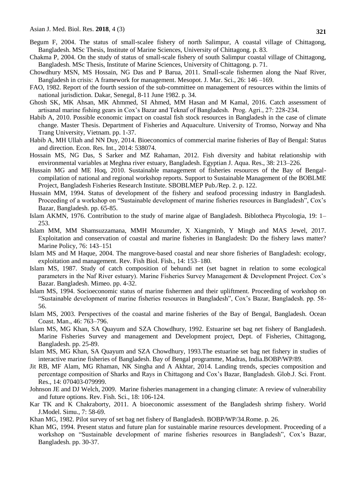- Begum F, 2004. The status of small-scalee fishery of north Salimpur, A coastal village of Chittagong, Bangladesh. MSc Thesis, Institute of Marine Sciences, University of Chittagong. p. 83.
- Chakma P, 2004. On the study of status of small-scale fishery of south Salimpur coastal village of Chittagong, Bangladesh. MSc Thesis, Institute of Marine Sciences, University of Chittagong. p. 71.
- Chowdhury MSN, MS Hossain, NG Das and P Barua, 2011. Small-scale fishermen along the Naaf River, Bangladesh in crisis: A framework for management. Mesopot. J. Mar. Sci., 26: 146 –169.
- FAO, 1982. Report of the fourth session of the sub-committee on management of resources within the limits of national jurisdiction. Dakar, Senegal, 8-11 June 1982. p. 34.
- Ghosh SK, MK Ahsan, MK Ahmmed, SI Ahmed, MM Hasan and M Kamal, 2016. Catch assessment of artisanal marine fishing gears in Cox"s Bazar and Teknaf of Bangladesh. Prog. Agri., 27: 228-234.
- Habib A, 2010. Possible economic impact on coastal fish stock resources in Bangladesh in the case of climate change. Master Thesis. Department of Fisheries and Aquaculture. University of Tromso, Norway and Nha Trang University, Vietnam. pp. 1-37.
- Habib A, MH Ullah and NN Duy, 2014. Bioeconomics of commercial marine fisheries of Bay of Bengal: Status and direction. Econ. Res. Int., 2014: 538074.
- Hossain MS, NG Das, S Sarker and MZ Rahaman, 2012. Fish diversity and habitat relationship with environmental variables at Meghna river estuary, Bangladesh. Egyptian J. Aqua. Res., 38: 213–226.
- Hussain MG and ME Hoq, 2010. Sustainable management of fisheries resources of the Bay of Bengalcompilation of national and regional workshop reports. Support to Sustainable Management of the BOBLME Project, Bangladesh Fisheries Research Institute. SBOBLMEP Pub./Rep. 2. p. 122.
- Hussain MM, 1994. Status of development of the fishery and seafood processing industry in Bangladesh. Proceeding of a workshop on "Sustainable development of marine fisheries resources in Bangladesh", Cox"s Bazar, Bangladesh. pp. 65-85.
- Islam AKMN, 1976. Contribution to the study of marine algae of Bangladesh. Biblotheca Phycologia, 19: 1– 253.
- Islam MM, MM Shamsuzzamana, MMH Mozumder, X Xiangminb, Y Mingb and MAS Jewel, 2017. Exploitation and conservation of coastal and marine fisheries in Bangladesh: Do the fishery laws matter? Marine Policy, 76: 143–151
- Islam MS and M Haque, 2004. The mangrove-based coastal and near shore fisheries of Bangladesh: ecology, exploitation and management. Rev. Fish Biol. Fish., 14: 153–180.
- Islam MS, 1987. Study of catch composition of behundi net (set bagnet in relation to some ecological parameters in the Naf River estuary). Marine Fisheries Survey Management & Development Project. Cox"s Bazar. Bangladesh. Mimeo. pp. 4-32.
- Islam MS, 1994. Socioeconomic status of marine fishermen and their upliftment. Proceeding of workshop on "Sustainable development of marine fisheries resources in Bangladesh", Cox"s Bazar, Bangladesh. pp. 58- 56.
- Islam MS, 2003. Perspectives of the coastal and marine fisheries of the Bay of Bengal, Bangladesh. Ocean Coast. Man., 46: 763–796.
- Islam MS, MG Khan, SA Quayum and SZA Chowdhury, 1992. Estuarine set bag net fishery of Bangladesh. Marine Fisheries Survey and management and Development project, Dept. of Fisheries, Chittagong, Bangladesh. pp. 25-89.
- Islam MS, MG Khan, SA Quayum and SZA Chowdhury, 1993.The estuarine set bag net fishery in studies of interactive marine fisheries of Bangladesh. Bay of Bengal programme, Madras, India.BOBP/WP/89.
- Jit RB, MF Alam, MG Rhaman, NK Singha and A Akhtar, 2014. Landing trends, species composition and percentage composition of Sharks and Rays in Chittagong and Cox"s Bazar, Bangladesh. Glob.J. Sci. Front. Res., 14: 070403-079999.
- Johnson JE and DJ Welch, 2009. Marine fisheries management in a changing climate: A review of vulnerability and future options. Rev. Fish. Sci., 18: 106-124.
- Kar TK and K Chakraborty, 2011. A bioeconomic assessment of the Bangladesh shrimp fishery. World J.Model. Simu., 7: 58-69.
- Khan MG, 1982. Pilot survey of set bag net fishery of Bangladesh. BOBP/WP/34.Rome. p. 26.
- Khan MG, 1994. Present status and future plan for sustainable marine resources development. Proceeding of a workshop on "Sustainable development of marine fisheries resources in Bangladesh", Cox"s Bazar, Bangladesh. pp. 30-37.